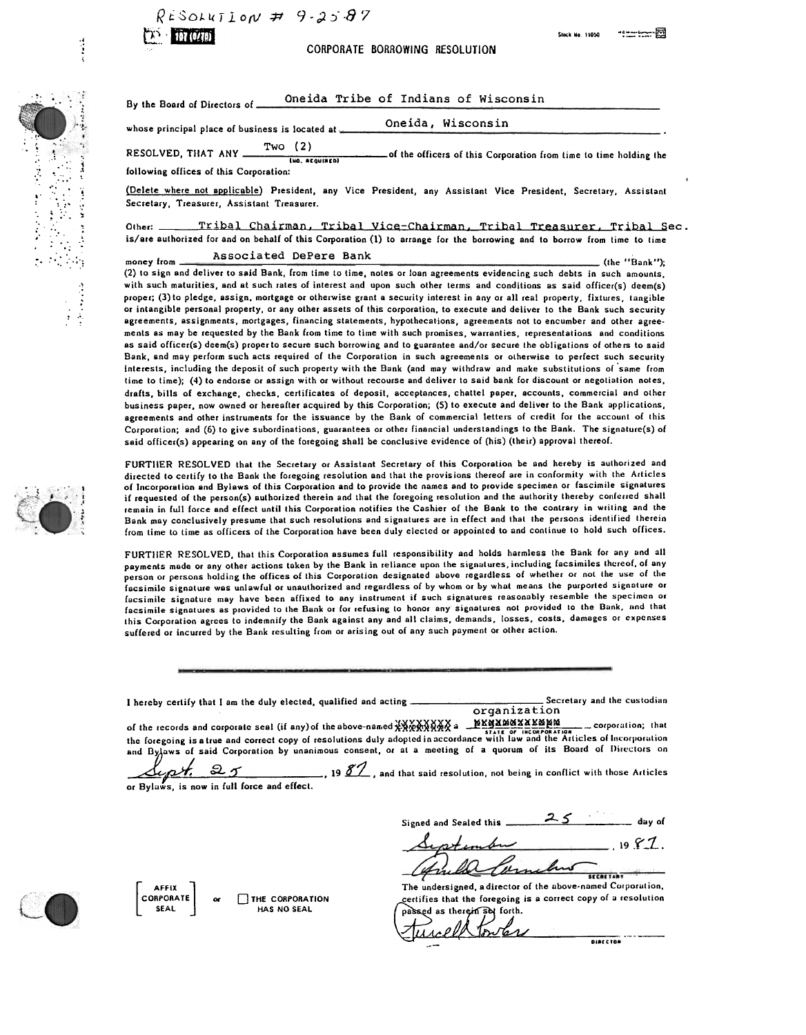$R$ ESOLUTION # 9-2587



.~

" : '; :': ..'." ,1 , where  $\mathcal{L}$  , we have .".  $\mathbf{v} \in \mathbb{R}$ : ,. ; ;:. ;

 $\mathcal{L}^{\text{max}}$ ..' "  $\mathcal{L}^{\mathcal{L}}$ 

.1

, .,

**TH CUB**<br>CORPORATE BORROWING RESOLUTION

Oneida Tribe of Indians of Wisconsin By the Board of Directors of \_

Oneida, Wisconsin whose principal place of business is located at  $\blacksquare$ 

Two (2) RESOLVED, THAT ANY  $\frac{100(2)}{2}$  of the officers of this Corporation from time to time holding the tho. REQUIRED) following offices of this Corporation:

(Delete where not applicable) President, any Vice President, any Assistant Vice President, Secretary, Assistant Secretary, Treasurer, Assistant Treasurer.

Tribal Chairman, Tribal Vice-Chairman, Tribal Treasurer, Tribal Sec. is/are authorized for and on behalf of this Corporation (1) to arrange for the borrowing and to borrow from time to time

Associated DePere Bank

money from (the "Bank"); (2) to sign and deliver to said Bank, from time to time, notes Or loan agreements evidencing such debts in such amounts, with such maturities, and at such rates of interest and upon such other terms and conditions as said officer(s) deem(s) proper; (3) to pledge, assign, mortgage or otherwise grant a security interest in any or all real property, fixtures, tangible or intangible personal property, or any other assets of this corporation, to execute and deliver to the Bank such security agreements, assignments, mortgages, financing statements, hypothecations, agreements not to encumber and other agree. ments as may be requested by the Bank from time to time with such promises, warranties, representations and conditions as said officer(s) deem(s) proper to secure such borrowing and to guarantee and/or secure the obligations of others to said Bank, and may perform such acts required of the Corporation in such agreements or otherwise to perfect such security Interests, including the deposit of such property with the Bank (and may withdraw and make substitutions 01 'same Irom time to time); (4) to endorse or assign with or without recourse and deliver to said bank lor discount or negotiation notes, drafts, bills of exchange, checks, certificates of deposit, acceptances, chattel paper, accounts, commercial and other business paper, now owned or hereafter acquired by this Corporation; (5) to execute and deliver to the Bank applications, agreements and other instruments for the issuance by the Bank of commercial letters of credit for the account of this Corporation; and (6) to give subordinations, guarantees or other financial understandings to the Bank. The signature(s) of said officer(s) appearing on any 01 the foregoing shall be conclusive evidence of (his) (their) approval thereof.

FURTIIER RESOLVED that the Secretary or Assistant Secretary of this Corporation be and hereby is authorized and directed to certify to the Bank the foregoing resolution and that the provisions thereof are in conformity with the Articles of Incorporation and Bylaws of this Corporation and to provide the names and to provide specimen or fascimile signatures if requested of the person(s) authorized therein and that the foregoing resolution and the authority thereby conlerred shall remain in full force and effect until this Corporation notifies the Cashier of the Bank to the contrary in writing and the Bank may conclusively presume that such resolutions and signatures are in effect and that the persons identified therein from time to time as officers of the Corporation have been duly elected or appointed to and continue to hold such offices.

FURTIIER RESOLVED, that this Corporation assumes full responsibility and holds harmless the Bank lor any and all payments made or any other actions taken by the Bank in reliance upon the signatures, including facsimiles thereof, of any person or persons holding the offices of this Corporation designated above regardless of whether or not the use of the facsimile signature was unlawful or unauthorized and regardless of by whom or by what means the purported signature or facsimile signature may have been affixed to any instrument if such signatures reasonably resemble the specimen or facsimile signatures as provided to the Bank or for refusing to honor any signatures not providcd to the Dank, und that this Corporation agrees to indemnify the Bank against any and all claims, demands, losses, costs, damages or expenses suffered or incurred by the Bank resulting from or arising out of any such payment or other action.

I hereby certify that I am the duly elected, qualified and acting **Secretary Action** Secretary and the custodian

organization<br>of the records and corporate seal (if any) of the above-named  $\frac{\sqrt{2}}{2}$   $\frac{\sqrt{2}}{2}$   $\frac{\sqrt{2}}{2}$   $\frac{\sqrt{2}}{2}$   $\frac{\sqrt{2}}{2}$   $\frac{\sqrt{2}}{2}$   $\frac{\sqrt{2}}{2}$   $\frac{\sqrt{2}}{2}$   $\frac{\sqrt{2}}{2}$   $\frac{\sqrt{2}}{2}$   $\frac{\sqrt{2}}{2}$   $\frac{\$ of the records and corpora Ie seal (if any)of theabove-nalToed~~~~~§i~~a ~~~~~~~~~\_corpor:,tion; that ,r.,£ 0' ,NtOHPOH'T,ON the foregoing is B true and correct copy of resolutions duly adopted in :lccordance with law and the Arlicles of Incorpor:.tion and Bylaws of said Corporation by unanimous consent, or at a meeting of a quorum of its Board of Directors on

 $\llap{57}$ , and that said resolution, not being in conflict with those Articles or Bylaws, is now in full force and effect.

Signed and Sealed this  $\frac{25}{100}$  day of  $.1987$ . Cambro

The undersigned, adirector of the above-named Curporution, certifies that the foregoing is a correct copy of a resolution passed as therein set forth.

**SECRETARY** 

 $\frac{1}{2}$ 







AFFIX<br>CORPORATE SEAL THE CORPORATION HAS NO SEAL or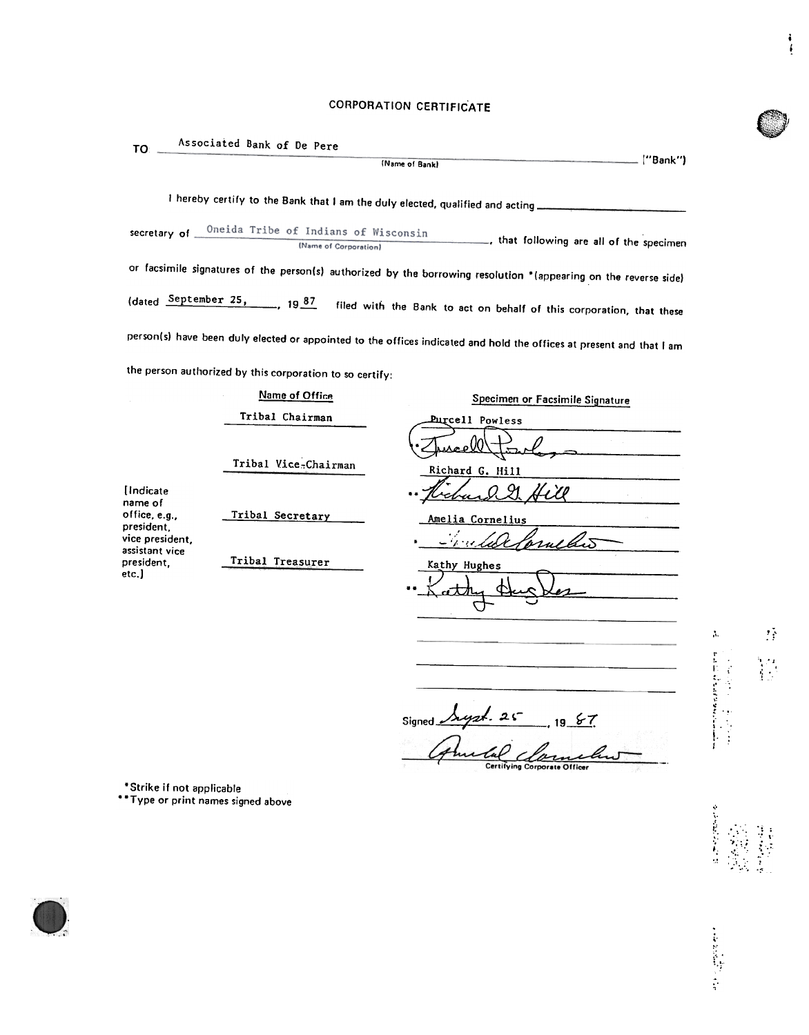## CORPORATION CERTIFICATE

i !

)

 $\label{eq:2.1} \Lambda_{\rm c} = \frac{1}{\sqrt{2}} \sum_{i=1}^{N} \frac{1}{i} \sum_{i=1}^{N} \frac{1}{i} \sum_{i=1}^{N} \frac{1}{i} \sum_{i=1}^{N} \frac{1}{i} \sum_{i=1}^{N} \frac{1}{i} \sum_{i=1}^{N} \frac{1}{i} \sum_{i=1}^{N} \frac{1}{i} \sum_{i=1}^{N} \frac{1}{i} \sum_{i=1}^{N} \frac{1}{i} \sum_{i=1}^{N} \frac{1}{i} \sum_{i=1}^{N} \frac{1}{i} \sum_{i=1$ 

'0 OJ '( --

r

I i :; . ,. ,:

 $\frac{1}{2}$ .  $\left| \cdot \right|$  :

.;<br>,<br>,<br>,<br>,<br>,<br>,<br>,<br><br>,<br><br><br><br>

;  $\ddot{\phantom{a}}$ .' ,

 $\sim$   $\sim$   $\sim$   $\sim$  $\mathcal{L} \left( \mathcal{L} \right)$ 

|                                                                                                                             |                                                                               | ("Bank")<br>(Name of Bank)                                                                                           |  |  |
|-----------------------------------------------------------------------------------------------------------------------------|-------------------------------------------------------------------------------|----------------------------------------------------------------------------------------------------------------------|--|--|
|                                                                                                                             | I hereby certify to the Bank that I am the duly elected, qualified and acting |                                                                                                                      |  |  |
| Oneida Tribe of Indians of Wisconsin<br>secretary of $-$<br>that following are all of the specimen<br>(Name of Corporation) |                                                                               |                                                                                                                      |  |  |
|                                                                                                                             |                                                                               | or facsimile signatures of the person(s) authorized by the borrowing resolution *(appearing on the reverse side)     |  |  |
|                                                                                                                             | (dated September 25, 1987                                                     | filed with the Bank to act on behalf of this corporation, that these                                                 |  |  |
|                                                                                                                             |                                                                               | person(s) have been duly elected or appointed to the offices indicated and hold the offices at present and that I am |  |  |
|                                                                                                                             | the person authorized by this corporation to so certify:                      |                                                                                                                      |  |  |
|                                                                                                                             | Name of Office                                                                | Specimen or Facsimile Signature                                                                                      |  |  |
|                                                                                                                             | Tribal Chairman                                                               | <b>Purcell Powless</b>                                                                                               |  |  |
| [Indicate<br>name of<br>office, e.g.,<br>president.<br>vice president.<br>assistant vice<br>president.<br>etc.]             | Tribal Vice-Chairman<br>Tribal Secretary<br>Tribal Treasurer                  | Richard G. Hill<br>Amelia Cornelius<br>プロジェイ<br>Kathy Hughes                                                         |  |  |
|                                                                                                                             |                                                                               | $s_{ionod}$ $\lambda$ yzt. 25                                                                                        |  |  |

Signed  $\sqrt{\frac{\lambda\mu x^2 - 25}{\lambda^2}}$ , 19 & Cal Clarne

\*Strike if not applicabl

..Type or print names signed above

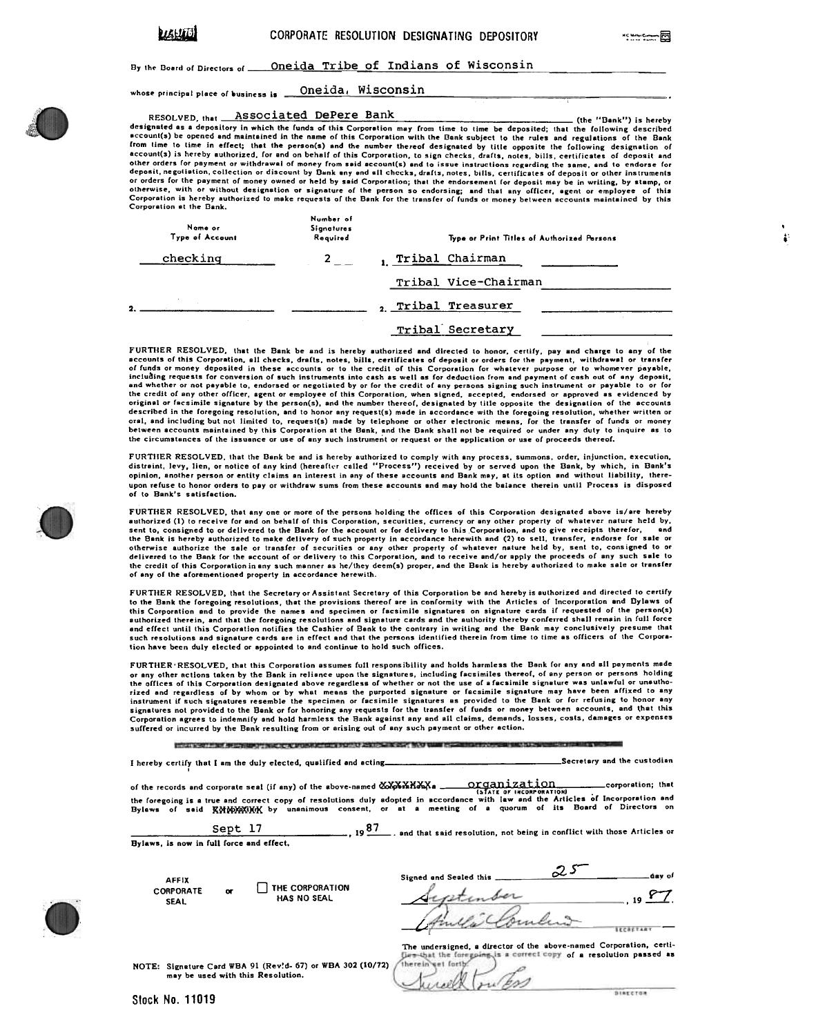(the "Bank") is hereby

.

By the Board of Directors of **Oneida Tribe of Indians of Wisconsin** 

whose principal place of business is **... Oneida, Wisconsin** 

## Associated DePere Bank RESOLVED, that

designated as a depository in which the funds of this Corporation may from time to time be deposited; that the following described<br>secount(s) be opened and maintained in the name of this Corporation with the Bank subject t from time to time in effect; that the person(s) and the number thereof designated by title opposite the following designation of account(s) is hereby authorized, for and on behalf of this Corporation, to sign checks, drafts, notes, bills, certificates of deposit and deposit and ther orders for payment or withdrawal of money from said account(s) and Corporation at the Bank.

| Name or<br>Type of Account | Number of<br>Signatures<br>Required | Type or Print Titles of Authorized Persons |  |
|----------------------------|-------------------------------------|--------------------------------------------|--|
| checking                   |                                     | Tribal Chairman                            |  |
|                            |                                     | Tribal Vice-Chairman                       |  |
|                            |                                     | Tribal Treasurer                           |  |
|                            |                                     | Tribal Secretary                           |  |

FURTHER RESOLVED, that the Bank be and is hereby authorized and directed to honor, certify, pay and charge to any of the<br>excounts of this Corporation, all checks, drafts, notes, bills, certificates of deposit or orders for between accounts maintained by this Corporation at the Bank, and the Bank shall not be required or under any duty to inquire as to<br>the circumstances of the issuance or use of any such instrument or request or the applicati

FURTIIER RESOLVED, that the Bank be and is hereby authorized to comply with any process, summons, order, injunction, execution, distraint, levy, lien, or notice of any kind (hereafter called "Process") received by or served upon the Bank, by which, in Bank's opinion, another person or entity claims an interest in any of these accounts and Bank may, at its option and without liability, thereupon refuse to honor orders to pay or withdraw sums from these accounts and may hold the balance therein until Process is disposed of to Bank's satisfaction.

FURTHER RESOLVED, that any one or more of the persons holding the offices of this Corporation designated above is/are hereby authorized (1) to receive for and on behalf of this Corporation, securities, currency or any other property of whatever nature held by,<br>sent to, consigned to or delivered to the Bank for the account or for delivery to this the credit of this Corporation in any such manner as he/they deem(s) proper, and the Bank is hereby authorized to make sale or transfer of any of the aforementioned property in accordance herewith.

FURTHER RESOLVED, that the Secretary or Assistant Secretary of this Corporation be and hereby is authorized and directed to certify to the Bank the foregoing resolutions, that the provisions thereof are in conformity with the Articles of Incorporation and Dylaws o<br>this Corporation and to provide the names and specimen or facsimile signatures on signatu euthorized therein, and that the foregoing resolutions and signature cards and the authority thereby conferred shall remain in full force<br>and effect until this Corporation notifies the Cashier of Bank to the contrary in wr tion have been duly elected or appointed to and continue to hold such offices.

FURTIIER'RESOLVED, that this Corporation assumes Cull responsibility and holds harmless the Bank Cor any and all payments made or any other actions taken by the Bank in reliance upon the signatures, including facsimiles thereof, of any person or persons holdi<br>the offices of this Corporation designated above regardless of whether or not the use of rized and regardless of by whom or by what means the purported signature or facsimile signature may have been affixed to any<br>instrument if such signatures resemble the specimen or facsimile signatures as provided to the Ba

ESSERVENT TELEVISION TELEVISION NUMBER OF A STATISTIC STATE OF THE STATE OF THE STATE OF THE STATE OF THE STATE OF THE STATE OF THE STATE OF THE STATE OF THE STATE OF THE STATE OF THE STATE OF THE STATE OF THE STATE OF THE

I hereby certify that I am the duly elected, qualified and acting Secretary Secretary and the custodian

of the records and corporate seal (if any) of the above-named  $\alpha$   $\alpha$  nrg or  $q$  nright  $r$  is defined and corporation; that Organization<br>Islate of INCORPORATIONI the foregoing is a true and correct copy of resolutions duly adopted in accordance with law and the Articles of Incorporation and<br>Bylaws, of said, MMMWWWWW by unanimous, consent, or at a meeting of a guorum of its Board of

Sept  $17$  ,  $19\frac{87}{100}$ , and that said resolution, not being in conflict with those Articles or Bylaws, is now In fuil force and effect.

| AFFIX            |   | THE CORPORATION<br><b>HAS NO SEAL</b> |
|------------------|---|---------------------------------------|
| <b>CORPORATE</b> | œ |                                       |
|                  |   |                                       |
| SEAL             |   |                                       |

 $\mathcal{Z}$  $\Delta$ ay of Signed and Sealed this. , 19  $\frac{Y}{1}$  $\overline{\phantom{a}}$ Amelic Combine

NOTE: Signature Card WBA 91 (Rev!d- 67) or WBA 302 (10/72) may be used with this Resolution.

The undersigned, a director of the above-named Corporation, certi-<br>Currichat the foregoing is a correct copy of a resolution passed as therein wet forth



AFFIX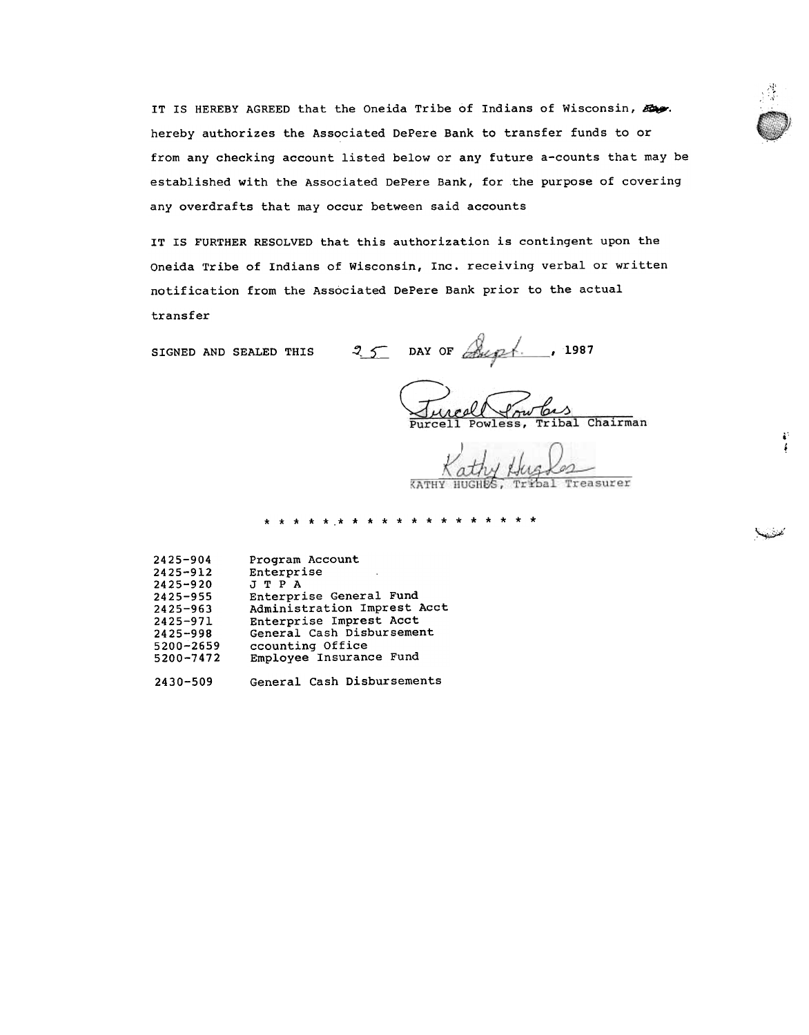IT IS HEREBY AGREED that the Oneida Tribe of Indians of Wisconsin,  $E_{\cdot}$ . hereby authorizes the Associated DePere Bank to transfer funds to or from any checking account listed below or any future a-counts that may be established with the Associated DePere Bank, for the purpose of covering any overdrafts that may occur between said accounts

IT IS FURTHER RESOLVED that this authorization is contingent upon the Oneida Tribe of Indians of Wisconsin, Inc. receiving verbal or written notification from the Associated DePere Bank prior to the actual transfer

SIGNED AND SEALED THIS  $25$  DAY OF  $\frac{2}{\sqrt{3}}$ , 1987

Jureal Powlas<br>Purcell Powless, Tribal Chairman

i !

~

\*\*\*\*\*\*\*\*\*\*\*\*\*\*\*\*\*\*\*

2430-509 General Cash Disbursements